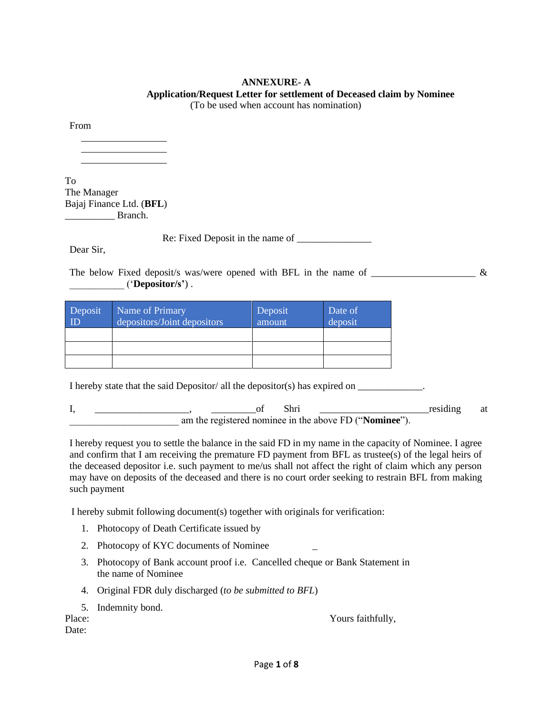# **ANNEXURE- A Application/Request Letter for settlement of Deceased claim by Nominee**

(To be used when account has nomination)

From

To The Manager Bajaj Finance Ltd. (**BFL**) \_\_\_\_\_\_\_\_\_\_ Branch.

Re: Fixed Deposit in the name of \_\_\_\_\_\_\_\_\_\_\_\_\_\_\_

Dear Sir,

The below Fixed deposit/s was/were opened with BFL in the name of  $\&$ \_\_\_\_\_\_\_\_\_\_\_ ('**Depositor/s'**) .

| Deposit<br>$\overline{\mathbb{D}}$ | Name of Primary<br>depositors/Joint depositors | Deposit<br>amount | Date of<br>deposit |
|------------------------------------|------------------------------------------------|-------------------|--------------------|
|                                    |                                                |                   |                    |
|                                    |                                                |                   |                    |
|                                    |                                                |                   |                    |

I hereby state that the said Depositor/ all the depositor(s) has expired on  $\Box$ 

| <br>Shri                                               | residing | at |
|--------------------------------------------------------|----------|----|
| am the registered nominee in the above FD ("Nominee"). |          |    |

I hereby request you to settle the balance in the said FD in my name in the capacity of Nominee. I agree and confirm that I am receiving the premature FD payment from BFL as trustee(s) of the legal heirs of the deceased depositor i.e. such payment to me/us shall not affect the right of claim which any person may have on deposits of the deceased and there is no court order seeking to restrain BFL from making such payment

I hereby submit following document(s) together with originals for verification:

- 1. Photocopy of Death Certificate issued by
- 2. Photocopy of KYC documents of Nominee
- 3. Photocopy of Bank account proof i.e. Cancelled cheque or Bank Statement in the name of Nominee
- 4. Original FDR duly discharged (*to be submitted to BFL*)
- 5. Indemnity bond.

Place: Yours faithfully,

Date: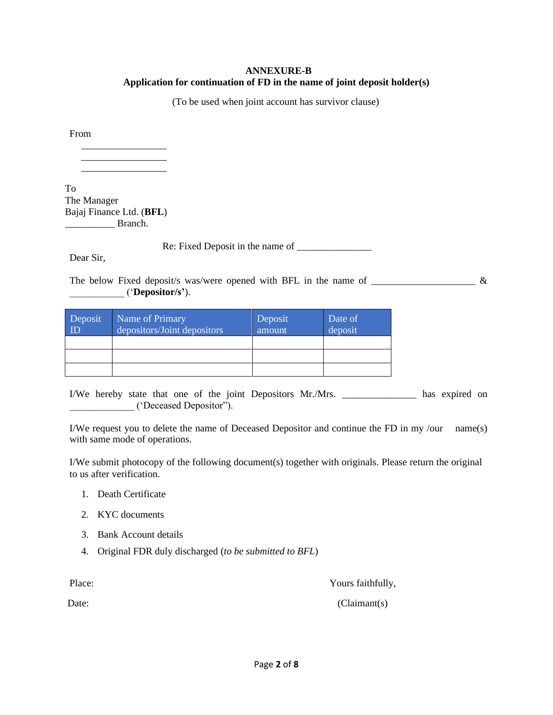### **ANNEXURE-B Application for continuation of FD in the name of joint deposit holder(s)**

(To be used when joint account has survivor clause)

From

To The Manager Bajaj Finance Ltd. (**BFL**) Branch.

Re: Fixed Deposit in the name of \_\_\_\_\_\_\_\_\_\_\_\_\_\_\_

Dear Sir,

The below Fixed deposit/s was/were opened with BFL in the name of  $\frac{1}{\sqrt{2}}$ \_\_\_\_\_\_\_\_\_\_\_ ('**Depositor/s'**).

| Deposit<br>ID | Name of Primary<br>depositors/Joint depositors | Deposit<br>amount | Date of<br>deposit |
|---------------|------------------------------------------------|-------------------|--------------------|
|               |                                                |                   |                    |
|               |                                                |                   |                    |
|               |                                                |                   |                    |

I/We hereby state that one of the joint Depositors Mr./Mrs. \_\_\_\_\_\_\_\_\_\_\_\_\_\_\_ has expired on \_\_\_\_\_\_\_\_\_\_\_\_\_ ('Deceased Depositor").

I/We request you to delete the name of Deceased Depositor and continue the FD in my /our name(s) with same mode of operations.

I/We submit photocopy of the following document(s) together with originals. Please return the original to us after verification.

- 1. Death Certificate
- 2. KYC documents
- 3. Bank Account details
- 4. Original FDR duly discharged (*to be submitted to BFL*)

Place: Yours faithfully,

Date: (Claimant(s)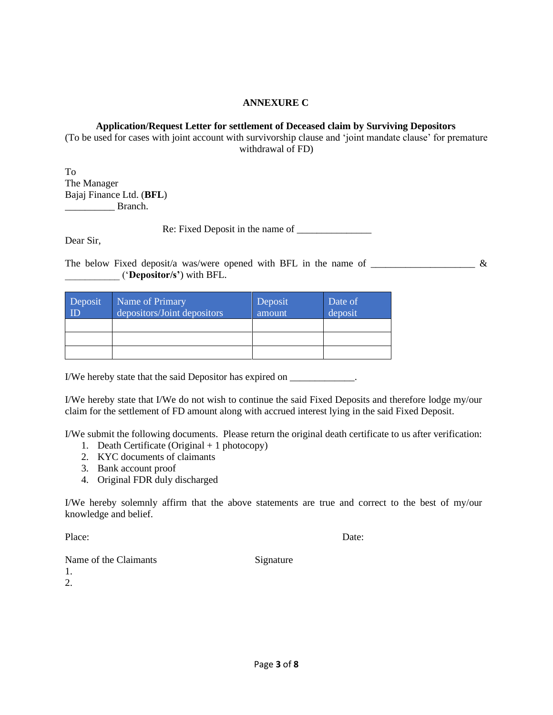#### **ANNEXURE C**

### **Application/Request Letter for settlement of Deceased claim by Surviving Depositors**

(To be used for cases with joint account with survivorship clause and 'joint mandate clause' for premature withdrawal of FD)

To The Manager Bajaj Finance Ltd. (**BFL**) \_\_\_\_\_\_\_\_\_\_ Branch.

Re: Fixed Deposit in the name of

Dear Sir,

The below Fixed deposit/a was/were opened with BFL in the name of  $\frac{1}{\sqrt{2\pi}}$ \_\_\_\_\_\_\_\_\_\_\_ ('**Depositor/s'**) with BFL.

| Deposit<br>ID | Name of Primary<br>depositors/Joint depositors | Deposit<br>amount | Date of<br>deposit |
|---------------|------------------------------------------------|-------------------|--------------------|
|               |                                                |                   |                    |
|               |                                                |                   |                    |
|               |                                                |                   |                    |

I/We hereby state that the said Depositor has expired on \_\_\_\_\_\_\_\_\_\_\_\_\_.

I/We hereby state that I/We do not wish to continue the said Fixed Deposits and therefore lodge my/our claim for the settlement of FD amount along with accrued interest lying in the said Fixed Deposit.

I/We submit the following documents. Please return the original death certificate to us after verification:

- 1. Death Certificate (Original + 1 photocopy)
- 2. KYC documents of claimants
- 3. Bank account proof
- 4. Original FDR duly discharged

I/We hereby solemnly affirm that the above statements are true and correct to the best of my/our knowledge and belief.

Place: Date:

Name of the Claimants Signature

Page **3** of **8**

1. 2.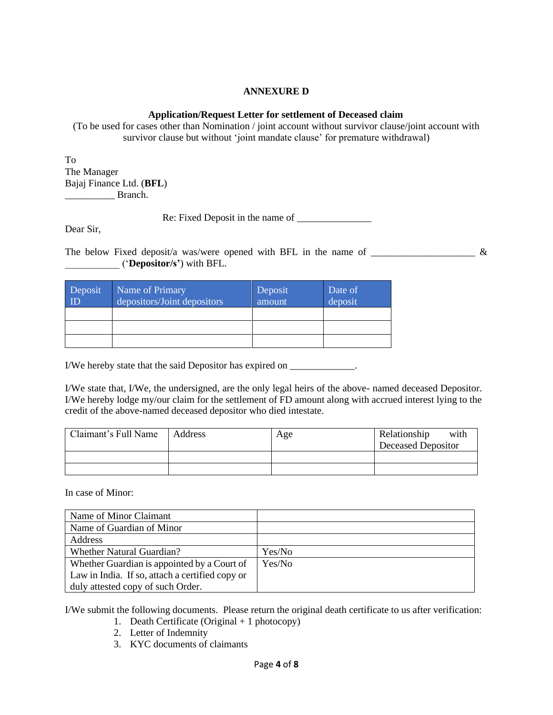### **ANNEXURE D**

### **Application/Request Letter for settlement of Deceased claim**

(To be used for cases other than Nomination / joint account without survivor clause/joint account with survivor clause but without 'joint mandate clause' for premature withdrawal)

To The Manager Bajaj Finance Ltd. (**BFL**) \_\_\_\_\_\_\_\_\_\_ Branch.

Re: Fixed Deposit in the name of \_\_\_\_\_\_\_\_\_\_\_\_\_\_\_

Dear Sir,

The below Fixed deposit/a was/were opened with BFL in the name of  $\frac{1}{\sqrt{2\pi}}$ \_\_\_\_\_\_\_\_\_\_\_ ('**Depositor/s'**) with BFL.

| Deposit<br>ID | Name of Primary<br>depositors/Joint depositors | Deposit<br>amount | Date of<br>deposit |
|---------------|------------------------------------------------|-------------------|--------------------|
|               |                                                |                   |                    |
|               |                                                |                   |                    |
|               |                                                |                   |                    |

I/We hereby state that the said Depositor has expired on \_\_\_\_\_\_\_\_\_\_\_\_\_.

I/We state that, I/We, the undersigned, are the only legal heirs of the above- named deceased Depositor. I/We hereby lodge my/our claim for the settlement of FD amount along with accrued interest lying to the credit of the above-named deceased depositor who died intestate.

| Claimant's Full Name | Address | Age | Relationship<br>with<br><b>Deceased Depositor</b> |
|----------------------|---------|-----|---------------------------------------------------|
|                      |         |     |                                                   |
|                      |         |     |                                                   |

In case of Minor:

| Name of Minor Claimant                          |        |
|-------------------------------------------------|--------|
| Name of Guardian of Minor                       |        |
| Address                                         |        |
| <b>Whether Natural Guardian?</b>                | Yes/No |
| Whether Guardian is appointed by a Court of     | Yes/No |
| Law in India. If so, attach a certified copy or |        |
| duly attested copy of such Order.               |        |

I/We submit the following documents. Please return the original death certificate to us after verification:

- 1. Death Certificate (Original + 1 photocopy)
- 2. Letter of Indemnity
- 3. KYC documents of claimants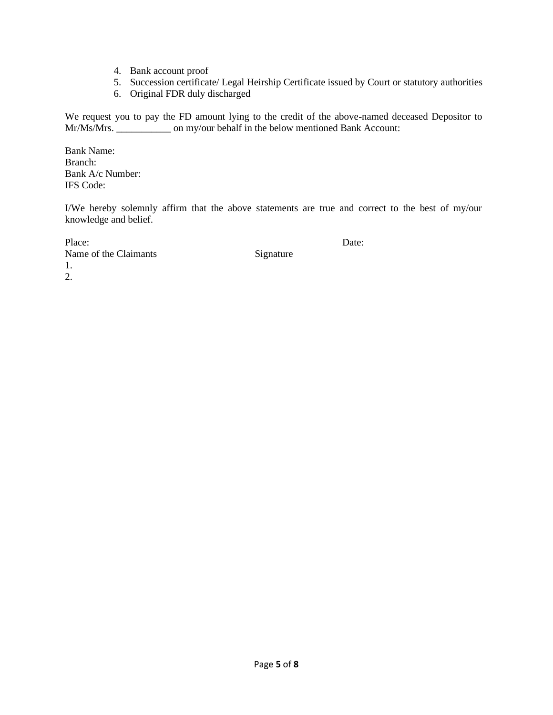- 4. Bank account proof
- 5. Succession certificate/ Legal Heirship Certificate issued by Court or statutory authorities
- 6. Original FDR duly discharged

We request you to pay the FD amount lying to the credit of the above-named deceased Depositor to Mr/Ms/Mrs. \_\_\_\_\_\_\_\_\_\_\_\_\_\_\_ on my/our behalf in the below mentioned Bank Account:

Bank Name: Branch: Bank A/c Number: IFS Code:

I/We hereby solemnly affirm that the above statements are true and correct to the best of my/our knowledge and belief.

Place: Date: Name of the Claimants Signature 1. 2.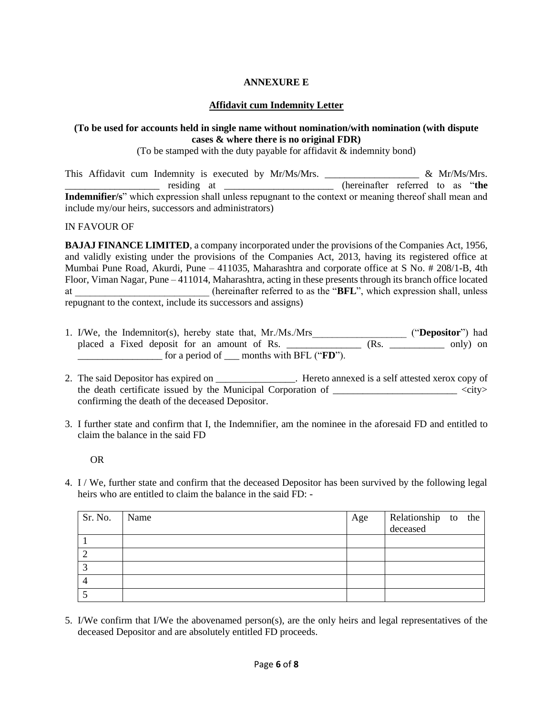## **ANNEXURE E**

### **Affidavit cum Indemnity Letter**

### **(To be used for accounts held in single name without nomination/with nomination (with dispute cases & where there is no original FDR)**

(To be stamped with the duty payable for affidavit  $\&$  indemnity bond)

This Affidavit cum Indemnity is executed by Mr/Ms/Mrs.  $\frac{1}{2}$   $\frac{1}{2}$   $\frac{1}{2}$   $\frac{1}{2}$   $\frac{1}{2}$   $\frac{1}{2}$   $\frac{1}{2}$   $\frac{1}{2}$   $\frac{1}{2}$   $\frac{1}{2}$   $\frac{1}{2}$   $\frac{1}{2}$   $\frac{1}{2}$   $\frac{1}{2}$   $\frac{1}{2}$   $\frac{1}{2}$   $\frac{1}{$ \_\_\_\_\_\_\_\_\_\_\_\_\_\_\_\_\_\_\_ residing at \_\_\_\_\_\_\_\_\_\_\_\_\_\_\_\_\_\_\_\_\_\_ (hereinafter referred to as "**the Indemnifier/s**" which expression shall unless repugnant to the context or meaning thereof shall mean and include my/our heirs, successors and administrators)

#### IN FAVOUR OF

**BAJAJ FINANCE LIMITED**, a company incorporated under the provisions of the Companies Act, 1956, and validly existing under the provisions of the Companies Act, 2013, having its registered office at Mumbai Pune Road, Akurdi, Pune – 411035, Maharashtra and corporate office at S No. # 208/1-B, 4th Floor, Viman Nagar, Pune – 411014, Maharashtra, acting in these presents through its branch office located at \_\_\_\_\_\_\_\_\_\_\_\_\_\_\_\_\_\_\_\_\_\_\_\_\_\_\_ (hereinafter referred to as the "**BFL**", which expression shall, unless repugnant to the context, include its successors and assigns)

- 1. I/We, the Indemnitor(s), hereby state that, Mr./Ms./Mrs\_\_\_\_\_\_\_\_\_\_\_\_\_\_\_\_\_\_\_ ("**Depositor**") had placed a Fixed deposit for an amount of Rs. \_\_\_\_\_\_\_\_\_\_\_\_\_\_ (Rs. \_\_\_\_\_\_\_\_\_\_ only) on \_\_\_\_\_\_\_\_\_\_\_\_\_\_\_\_\_ for a period of \_\_\_ months with BFL ("**FD**").
- 2. The said Depositor has expired on  $\blacksquare$ . Hereto annexed is a self attested xerox copy of the death certificate issued by the Municipal Corporation of  $\langle$ city> confirming the death of the deceased Depositor.
- 3. I further state and confirm that I, the Indemnifier, am the nominee in the aforesaid FD and entitled to claim the balance in the said FD

OR

4. I / We, further state and confirm that the deceased Depositor has been survived by the following legal heirs who are entitled to claim the balance in the said FD: -

| Sr. No. | Name | Age | Relationship to the<br>deceased |  |
|---------|------|-----|---------------------------------|--|
|         |      |     |                                 |  |
|         |      |     |                                 |  |
|         |      |     |                                 |  |
|         |      |     |                                 |  |
|         |      |     |                                 |  |

5. I/We confirm that I/We the abovenamed person(s), are the only heirs and legal representatives of the deceased Depositor and are absolutely entitled FD proceeds.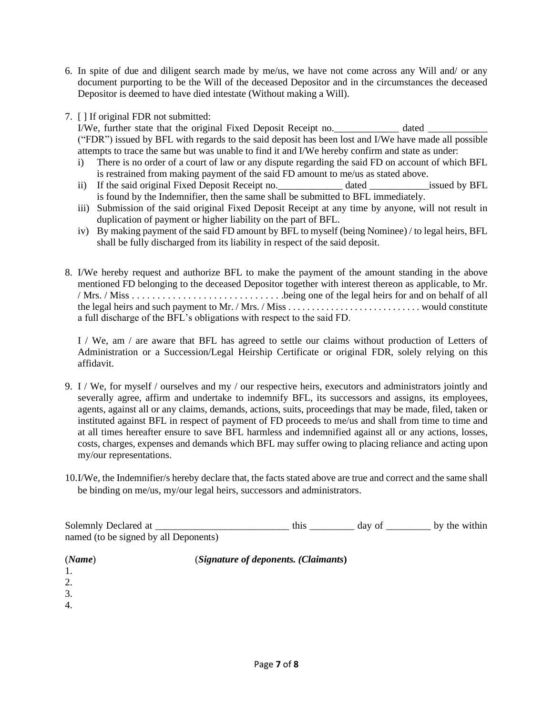- 6. In spite of due and diligent search made by me/us, we have not come across any Will and/ or any document purporting to be the Will of the deceased Depositor and in the circumstances the deceased Depositor is deemed to have died intestate (Without making a Will).
- 7. [ ] If original FDR not submitted:

I/We, further state that the original Fixed Deposit Receipt no.\_\_\_\_\_\_\_\_\_\_\_\_\_\_ dated \_\_\_\_ ("FDR") issued by BFL with regards to the said deposit has been lost and I/We have made all possible attempts to trace the same but was unable to find it and I/We hereby confirm and state as under:

- i) There is no order of a court of law or any dispute regarding the said FD on account of which BFL is restrained from making payment of the said FD amount to me/us as stated above.
- ii) If the said original Fixed Deposit Receipt no.  $\qquad \qquad$  dated  $\qquad \qquad$  issued by BFL is found by the Indemnifier, then the same shall be submitted to BFL immediately.
- iii) Submission of the said original Fixed Deposit Receipt at any time by anyone, will not result in duplication of payment or higher liability on the part of BFL.
- iv) By making payment of the said FD amount by BFL to myself (being Nominee) / to legal heirs, BFL shall be fully discharged from its liability in respect of the said deposit.
- 8. I/We hereby request and authorize BFL to make the payment of the amount standing in the above mentioned FD belonging to the deceased Depositor together with interest thereon as applicable, to Mr. / Mrs. / Miss . . . . . . . . . . . . . . . . . . . . . . . . . . . . . .being one of the legal heirs for and on behalf of all the legal heirs and such payment to Mr. / Mrs. / Miss . . . . . . . . . . . . . . . . . . . . . . . . . . . . would constitute a full discharge of the BFL's obligations with respect to the said FD.

I / We, am / are aware that BFL has agreed to settle our claims without production of Letters of Administration or a Succession/Legal Heirship Certificate or original FDR, solely relying on this affidavit.

- 9. I / We, for myself / ourselves and my / our respective heirs, executors and administrators jointly and severally agree, affirm and undertake to indemnify BFL, its successors and assigns, its employees, agents, against all or any claims, demands, actions, suits, proceedings that may be made, filed, taken or instituted against BFL in respect of payment of FD proceeds to me/us and shall from time to time and at all times hereafter ensure to save BFL harmless and indemnified against all or any actions, losses, costs, charges, expenses and demands which BFL may suffer owing to placing reliance and acting upon my/our representations.
- 10.I/We, the Indemnifier/s hereby declare that, the facts stated above are true and correct and the same shall be binding on me/us, my/our legal heirs, successors and administrators.

| Solemnly Declared at                  | th1s | day of | by the within |
|---------------------------------------|------|--------|---------------|
| named (to be signed by all Deponents) |      |        |               |

| (Name) | (Signature of deponents. (Claimants) |
|--------|--------------------------------------|
| 1.     |                                      |
| 2.     |                                      |
| 3.     |                                      |
| 4.     |                                      |